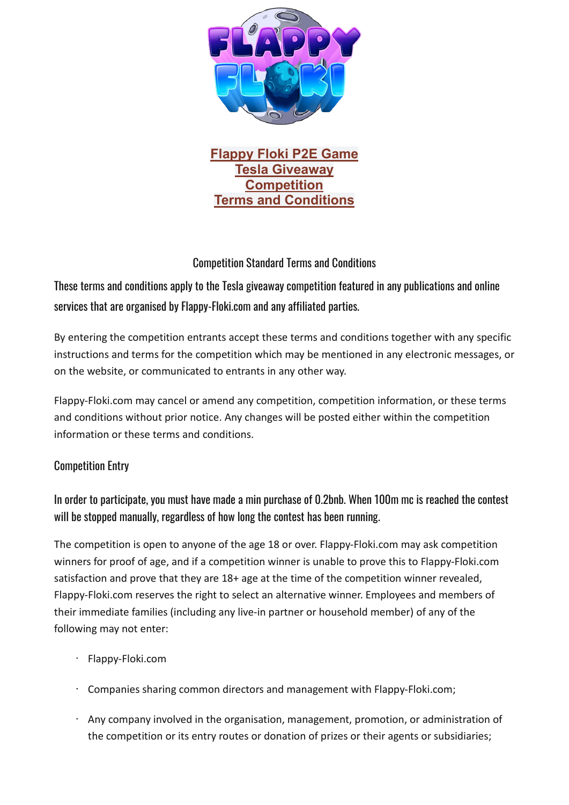

**Flappy Floki P2E Game Tesla Giveaway Competition Terms and Conditions**

# Competition Standard Terms and Conditions

These terms and conditions apply to the Tesla giveaway competition featured in any publications and online services that are organised by Flappy-Floki.com and any affiliated parties.

By entering the competition entrants accept these terms and conditions together with any specific instructions and terms for the competition which may be mentioned in any electronic messages, or on the website, or communicated to entrants in any other way.

Flappy-Floki.com may cancel or amend any competition, competition information, or these terms and conditions without prior notice. Any changes will be posted either within the competition information or these terms and conditions.

## Competition Entry

In order to participate, you must have made a min purchase of 0.2bnb. When 100m mc is reached the contest will be stopped manually, regardless of how long the contest has been running.

The competition is open to anyone of the age 18 or over. Flappy-Floki.com may ask competition winners for proof of age, and if a competition winner is unable to prove this to Flappy-Floki.com satisfaction and prove that they are 18+ age at the time of the competition winner revealed, Flappy-Floki.com reserves the right to select an alternative winner. Employees and members of their immediate families (including any live-in partner or household member) of any of the following may not enter:

- Flappy-Floki.com
- Companies sharing common directors and management with Flappy-Floki.com;
- Any company involved in the organisation, management, promotion, or administration of the competition or its entry routes or donation of prizes or their agents or subsidiaries;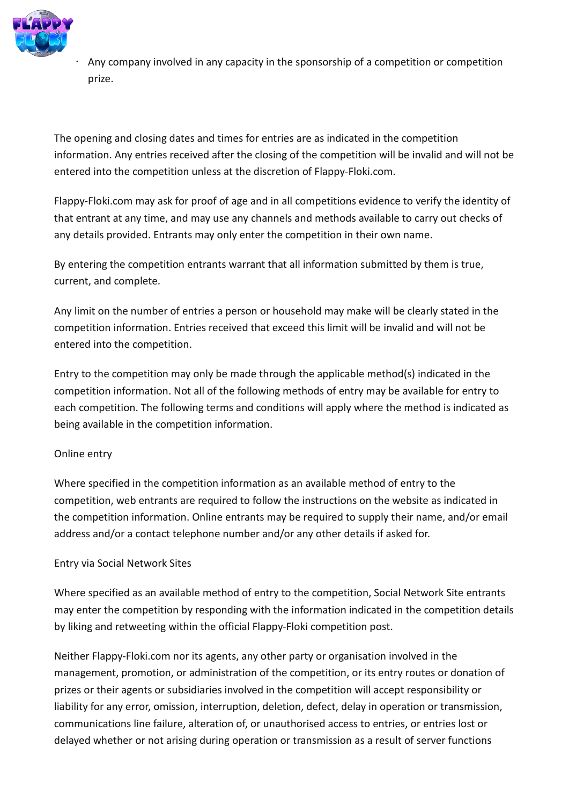

• Any company involved in any capacity in the sponsorship of a competition or competition prize.

The opening and closing dates and times for entries are as indicated in the competition information. Any entries received after the closing of the competition will be invalid and will not be entered into the competition unless at the discretion of Flappy-Floki.com.

Flappy-Floki.com may ask for proof of age and in all competitions evidence to verify the identity of that entrant at any time, and may use any channels and methods available to carry out checks of any details provided. Entrants may only enter the competition in their own name.

By entering the competition entrants warrant that all information submitted by them is true, current, and complete.

Any limit on the number of entries a person or household may make will be clearly stated in the competition information. Entries received that exceed this limit will be invalid and will not be entered into the competition.

Entry to the competition may only be made through the applicable method(s) indicated in the competition information. Not all of the following methods of entry may be available for entry to each competition. The following terms and conditions will apply where the method is indicated as being available in the competition information.

## Online entry

Where specified in the competition information as an available method of entry to the competition, web entrants are required to follow the instructions on the website as indicated in the competition information. Online entrants may be required to supply their name, and/or email address and/or a contact telephone number and/or any other details if asked for.

#### Entry via Social Network Sites

Where specified as an available method of entry to the competition, Social Network Site entrants may enter the competition by responding with the information indicated in the competition details by liking and retweeting within the official Flappy-Floki competition post.

Neither Flappy-Floki.com nor its agents, any other party or organisation involved in the management, promotion, or administration of the competition, or its entry routes or donation of prizes or their agents or subsidiaries involved in the competition will accept responsibility or liability for any error, omission, interruption, deletion, defect, delay in operation or transmission, communications line failure, alteration of, or unauthorised access to entries, or entries lost or delayed whether or not arising during operation or transmission as a result of server functions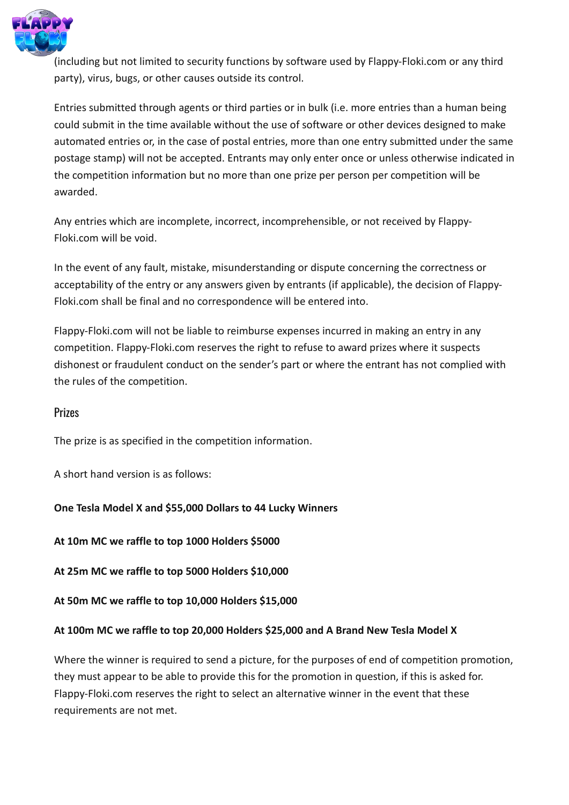

(including but not limited to security functions by software used by Flappy-Floki.com or any third party), virus, bugs, or other causes outside its control.

Entries submitted through agents or third parties or in bulk (i.e. more entries than a human being could submit in the time available without the use of software or other devices designed to make automated entries or, in the case of postal entries, more than one entry submitted under the same postage stamp) will not be accepted. Entrants may only enter once or unless otherwise indicated in the competition information but no more than one prize per person per competition will be awarded.

Any entries which are incomplete, incorrect, incomprehensible, or not received by Flappy-Floki.com will be void.

In the event of any fault, mistake, misunderstanding or dispute concerning the correctness or acceptability of the entry or any answers given by entrants (if applicable), the decision of Flappy-Floki.com shall be final and no correspondence will be entered into.

Flappy-Floki.com will not be liable to reimburse expenses incurred in making an entry in any competition. Flappy-Floki.com reserves the right to refuse to award prizes where it suspects dishonest or fraudulent conduct on the sender's part or where the entrant has not complied with the rules of the competition.

## **Prizes**

The prize is as specified in the competition information.

A short hand version is as follows:

**One Tesla Model X and \$55,000 Dollars to 44 Lucky Winners**

**At 10m MC we raffle to top 1000 Holders \$5000**

**At 25m MC we raffle to top 5000 Holders \$10,000**

**At 50m MC we raffle to top 10,000 Holders \$15,000**

#### **At 100m MC we raffle to top 20,000 Holders \$25,000 and A Brand New Tesla Model X**

Where the winner is required to send a picture, for the purposes of end of competition promotion, they must appear to be able to provide this for the promotion in question, if this is asked for. Flappy-Floki.com reserves the right to select an alternative winner in the event that these requirements are not met.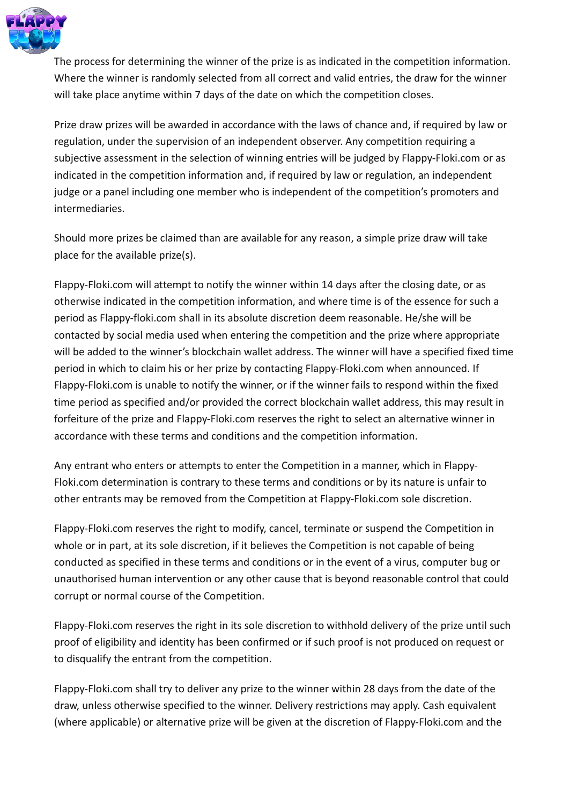

The process for determining the winner of the prize is as indicated in the competition information. Where the winner is randomly selected from all correct and valid entries, the draw for the winner will take place anytime within 7 days of the date on which the competition closes.

Prize draw prizes will be awarded in accordance with the laws of chance and, if required by law or regulation, under the supervision of an independent observer. Any competition requiring a subjective assessment in the selection of winning entries will be judged by Flappy-Floki.com or as indicated in the competition information and, if required by law or regulation, an independent judge or a panel including one member who is independent of the competition's promoters and intermediaries.

Should more prizes be claimed than are available for any reason, a simple prize draw will take place for the available prize(s).

Flappy-Floki.com will attempt to notify the winner within 14 days after the closing date, or as otherwise indicated in the competition information, and where time is of the essence for such a period as Flappy-floki.com shall in its absolute discretion deem reasonable. He/she will be contacted by social media used when entering the competition and the prize where appropriate will be added to the winner's blockchain wallet address. The winner will have a specified fixed time period in which to claim his or her prize by contacting Flappy-Floki.com when announced. If Flappy-Floki.com is unable to notify the winner, or if the winner fails to respond within the fixed time period as specified and/or provided the correct blockchain wallet address, this may result in forfeiture of the prize and Flappy-Floki.com reserves the right to select an alternative winner in accordance with these terms and conditions and the competition information.

Any entrant who enters or attempts to enter the Competition in a manner, which in Flappy-Floki.com determination is contrary to these terms and conditions or by its nature is unfair to other entrants may be removed from the Competition at Flappy-Floki.com sole discretion.

Flappy-Floki.com reserves the right to modify, cancel, terminate or suspend the Competition in whole or in part, at its sole discretion, if it believes the Competition is not capable of being conducted as specified in these terms and conditions or in the event of a virus, computer bug or unauthorised human intervention or any other cause that is beyond reasonable control that could corrupt or normal course of the Competition.

Flappy-Floki.com reserves the right in its sole discretion to withhold delivery of the prize until such proof of eligibility and identity has been confirmed or if such proof is not produced on request or to disqualify the entrant from the competition.

Flappy-Floki.com shall try to deliver any prize to the winner within 28 days from the date of the draw, unless otherwise specified to the winner. Delivery restrictions may apply. Cash equivalent (where applicable) or alternative prize will be given at the discretion of Flappy-Floki.com and the